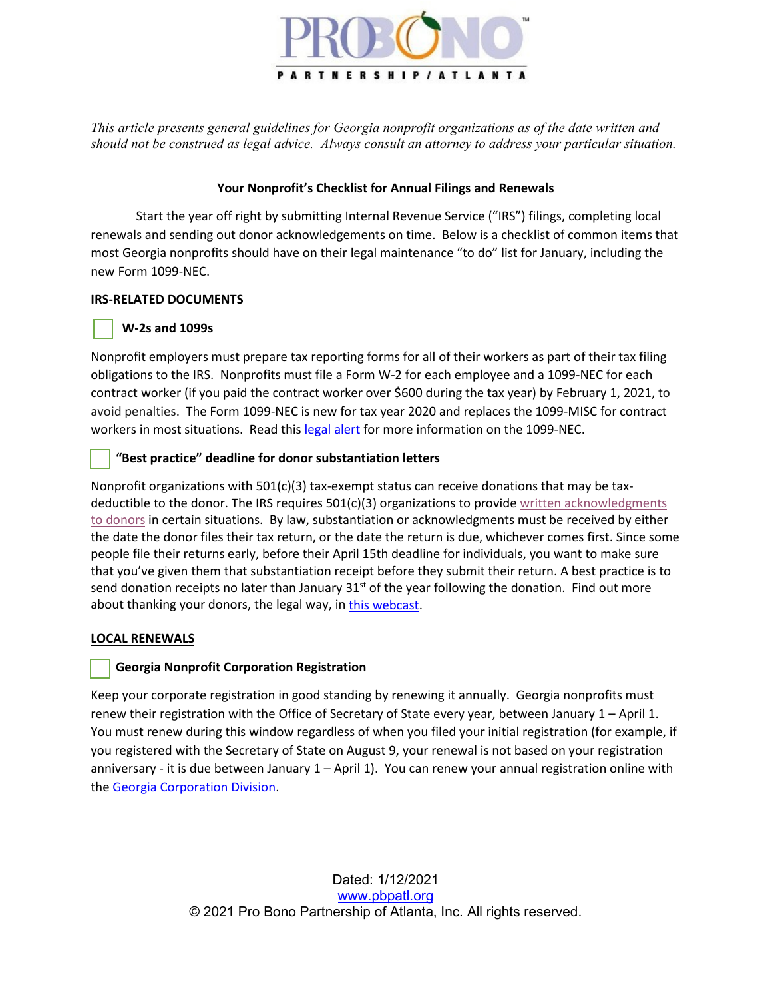

*This article presents general guidelines for Georgia nonprofit organizations as of the date written and should not be construed as legal advice. Always consult an attorney to address your particular situation.*

## **Your Nonprofit's Checklist for Annual Filings and Renewals**

Start the year off right by submitting Internal Revenue Service ("IRS") filings, completing local renewals and sending out donor acknowledgements on time. Below is a checklist of common items that most Georgia nonprofits should have on their legal maintenance "to do" list for January, including the new Form 1099-NEC.

# **IRS-RELATED DOCUMENTS**

### **W-2s and 1099s**

Nonprofit employers must prepare tax reporting forms for all of their workers as part of their tax filing obligations to the IRS. Nonprofits must file a Form W-2 for each employee and a 1099-NEC for each contract worker (if you paid the contract worker over \$600 during the tax year) by February 1, 2021, to avoid penalties. The Form 1099-NEC is new for tax year 2020 and replaces the 1099-MISC for contract workers in most situations. Read thi[s legal alert](https://www.pbpatl.org/resources/tax/form-1099-nec-awareness-week/) for more information on the 1099-NEC.

# **"Best practice" deadline for donor substantiation letters**

Nonprofit organizations with  $501(c)(3)$  tax-exempt status can receive donations that may be taxdeductible to the donor. The IRS requires 501(c)(3) organizations to provide written acknowledgments [to donors](https://www.pbpatl.org/podcasts/acknowledgements-what-to-include-in-a-thank-you-to-donors/) in certain situations. By law, substantiation or acknowledgments must be received by either the date the donor files their tax return, or the date the return is due, whichever comes first. Since some people file their returns early, before their April 15th deadline for individuals, you want to make sure that you've given them that substantiation receipt before they submit their return. A best practice is to send donation receipts no later than January  $31<sup>st</sup>$  of the year following the donation. Find out more about thanking your donors, the legal way, i[n this webcast.](Webcast:%20Thanking%20Donors-%20The%20Legal%20Way)

#### **LOCAL RENEWALS**

# **Georgia Nonprofit Corporation Registration**

Keep your corporate registration in good standing by renewing it annually. Georgia nonprofits must renew their registration with the Office of Secretary of State every year, between January 1 – April 1. You must renew during this window regardless of when you filed your initial registration (for example, if you registered with the Secretary of State on August 9, your renewal is not based on your registration anniversary - it is due between January 1 – April 1). You can renew your annual registration online with the [Georgia Corporation Division.](https://ecorp.sos.ga.gov/)

> Dated: 1/12/2021 [www.pbpatl.org](http://www.pbpatl.org/) © 2021 Pro Bono Partnership of Atlanta, Inc. All rights reserved.